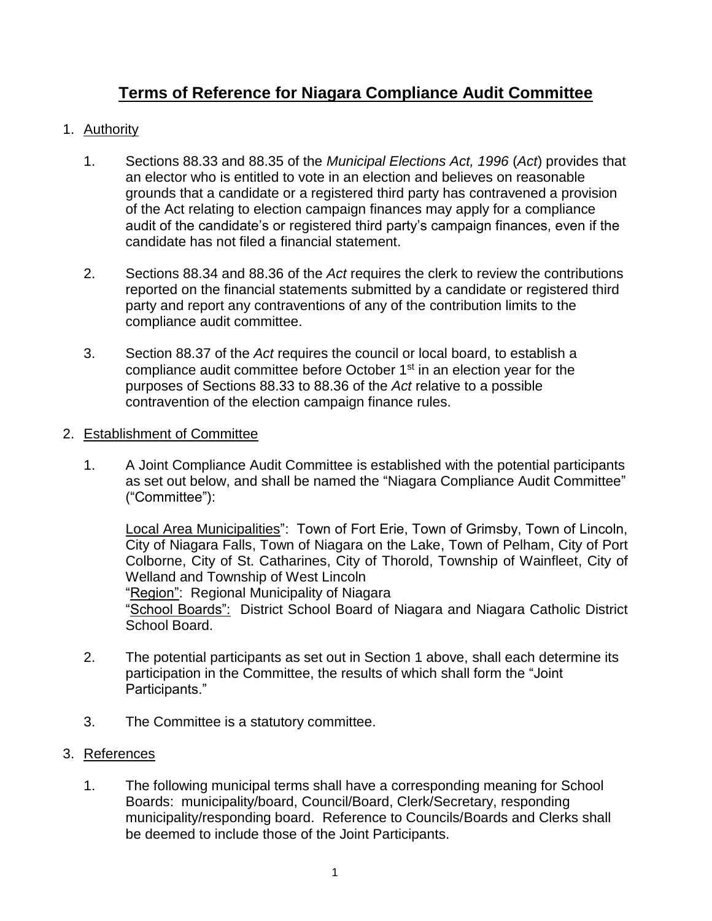# **Terms of Reference for Niagara Compliance Audit Committee**

### 1. Authority

- 1. Sections 88.33 and 88.35 of the *Municipal Elections Act, 1996* (*Act*) provides that an elector who is entitled to vote in an election and believes on reasonable grounds that a candidate or a registered third party has contravened a provision of the Act relating to election campaign finances may apply for a compliance audit of the candidate's or registered third party's campaign finances, even if the candidate has not filed a financial statement.
- 2. Sections 88.34 and 88.36 of the *Act* requires the clerk to review the contributions reported on the financial statements submitted by a candidate or registered third party and report any contraventions of any of the contribution limits to the compliance audit committee.
- 3. Section 88.37 of the *Act* requires the council or local board, to establish a compliance audit committee before October 1<sup>st</sup> in an election year for the purposes of Sections 88.33 to 88.36 of the *Act* relative to a possible contravention of the election campaign finance rules.

#### 2. Establishment of Committee

1. A Joint Compliance Audit Committee is established with the potential participants as set out below, and shall be named the "Niagara Compliance Audit Committee" ("Committee"):

Local Area Municipalities": Town of Fort Erie, Town of Grimsby, Town of Lincoln, City of Niagara Falls, Town of Niagara on the Lake, Town of Pelham, City of Port Colborne, City of St. Catharines, City of Thorold, Township of Wainfleet, City of Welland and Township of West Lincoln "Region": Regional Municipality of Niagara

"School Boards": District School Board of Niagara and Niagara Catholic District School Board.

- 2. The potential participants as set out in Section 1 above, shall each determine its participation in the Committee, the results of which shall form the "Joint Participants."
- 3. The Committee is a statutory committee.

### 3. References

1. The following municipal terms shall have a corresponding meaning for School Boards: municipality/board, Council/Board, Clerk/Secretary, responding municipality/responding board. Reference to Councils/Boards and Clerks shall be deemed to include those of the Joint Participants.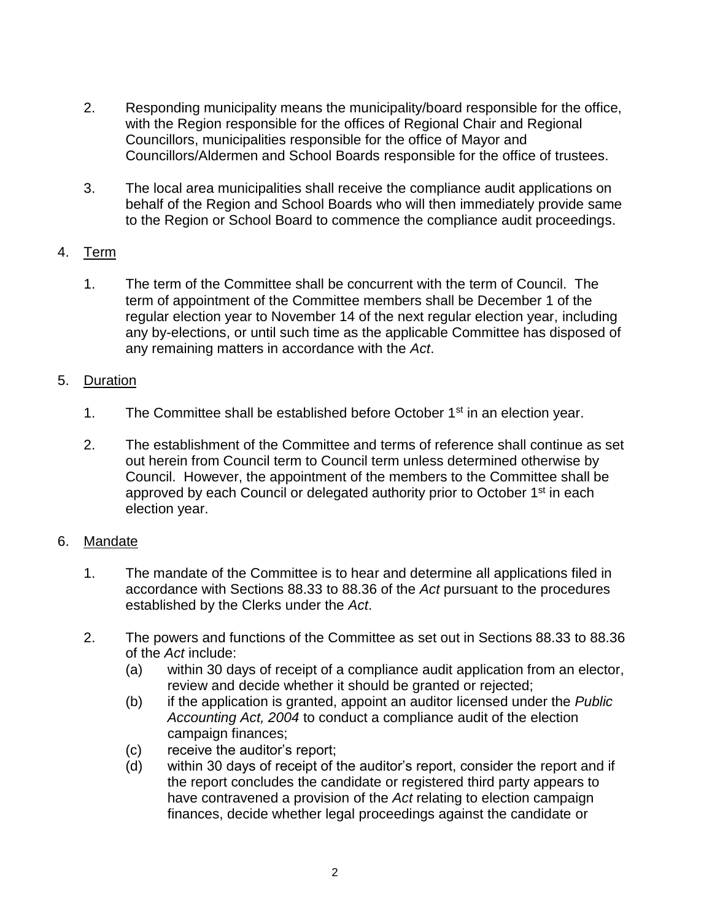- 2. Responding municipality means the municipality/board responsible for the office, with the Region responsible for the offices of Regional Chair and Regional Councillors, municipalities responsible for the office of Mayor and Councillors/Aldermen and School Boards responsible for the office of trustees.
- 3. The local area municipalities shall receive the compliance audit applications on behalf of the Region and School Boards who will then immediately provide same to the Region or School Board to commence the compliance audit proceedings.

# 4. Term

1. The term of the Committee shall be concurrent with the term of Council. The term of appointment of the Committee members shall be December 1 of the regular election year to November 14 of the next regular election year, including any by-elections, or until such time as the applicable Committee has disposed of any remaining matters in accordance with the *Act*.

# 5. Duration

- 1. The Committee shall be established before October  $1<sup>st</sup>$  in an election year.
- 2. The establishment of the Committee and terms of reference shall continue as set out herein from Council term to Council term unless determined otherwise by Council. However, the appointment of the members to the Committee shall be approved by each Council or delegated authority prior to October 1<sup>st</sup> in each election year.

# 6. Mandate

- 1. The mandate of the Committee is to hear and determine all applications filed in accordance with Sections 88.33 to 88.36 of the *Act* pursuant to the procedures established by the Clerks under the *Act*.
- 2. The powers and functions of the Committee as set out in Sections 88.33 to 88.36 of the *Act* include:
	- (a) within 30 days of receipt of a compliance audit application from an elector, review and decide whether it should be granted or rejected;
	- (b) if the application is granted, appoint an auditor licensed under the *Public Accounting Act, 2004* to conduct a compliance audit of the election campaign finances;
	- (c) receive the auditor's report;
	- (d) within 30 days of receipt of the auditor's report, consider the report and if the report concludes the candidate or registered third party appears to have contravened a provision of the *Act* relating to election campaign finances, decide whether legal proceedings against the candidate or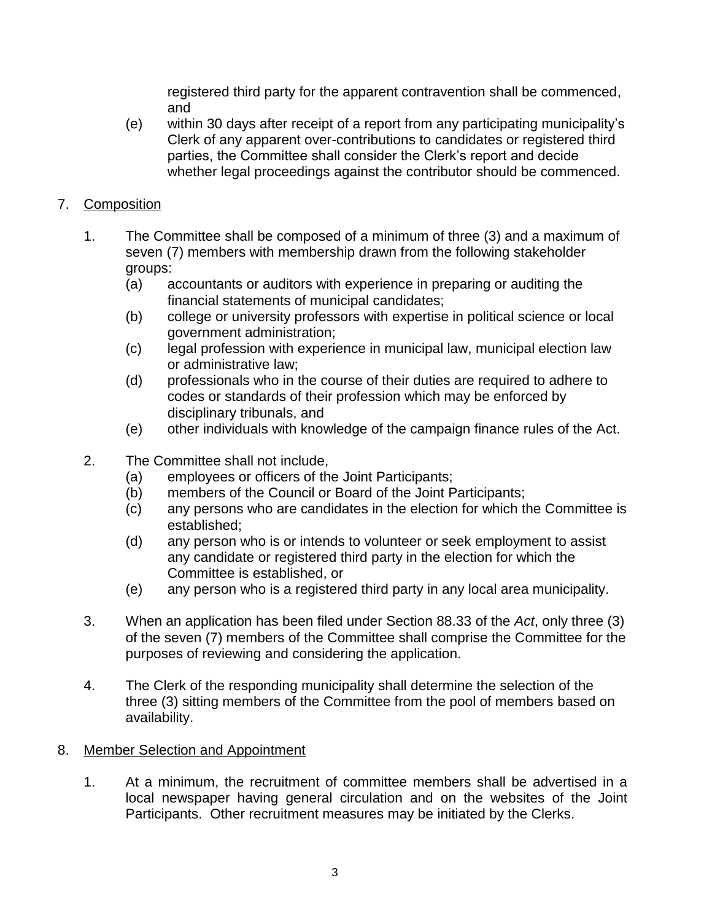registered third party for the apparent contravention shall be commenced, and

(e) within 30 days after receipt of a report from any participating municipality's Clerk of any apparent over-contributions to candidates or registered third parties, the Committee shall consider the Clerk's report and decide whether legal proceedings against the contributor should be commenced.

# 7. Composition

- 1. The Committee shall be composed of a minimum of three (3) and a maximum of seven (7) members with membership drawn from the following stakeholder groups:
	- (a) accountants or auditors with experience in preparing or auditing the financial statements of municipal candidates;
	- (b) college or university professors with expertise in political science or local government administration;
	- (c) legal profession with experience in municipal law, municipal election law or administrative law;
	- (d) professionals who in the course of their duties are required to adhere to codes or standards of their profession which may be enforced by disciplinary tribunals, and
	- (e) other individuals with knowledge of the campaign finance rules of the Act.
- 2. The Committee shall not include,
	- (a) employees or officers of the Joint Participants;
	- (b) members of the Council or Board of the Joint Participants;
	- (c) any persons who are candidates in the election for which the Committee is established;
	- (d) any person who is or intends to volunteer or seek employment to assist any candidate or registered third party in the election for which the Committee is established, or
	- (e) any person who is a registered third party in any local area municipality.
- 3. When an application has been filed under Section 88.33 of the *Act*, only three (3) of the seven (7) members of the Committee shall comprise the Committee for the purposes of reviewing and considering the application.
- 4. The Clerk of the responding municipality shall determine the selection of the three (3) sitting members of the Committee from the pool of members based on availability.

# 8. Member Selection and Appointment

1. At a minimum, the recruitment of committee members shall be advertised in a local newspaper having general circulation and on the websites of the Joint Participants. Other recruitment measures may be initiated by the Clerks.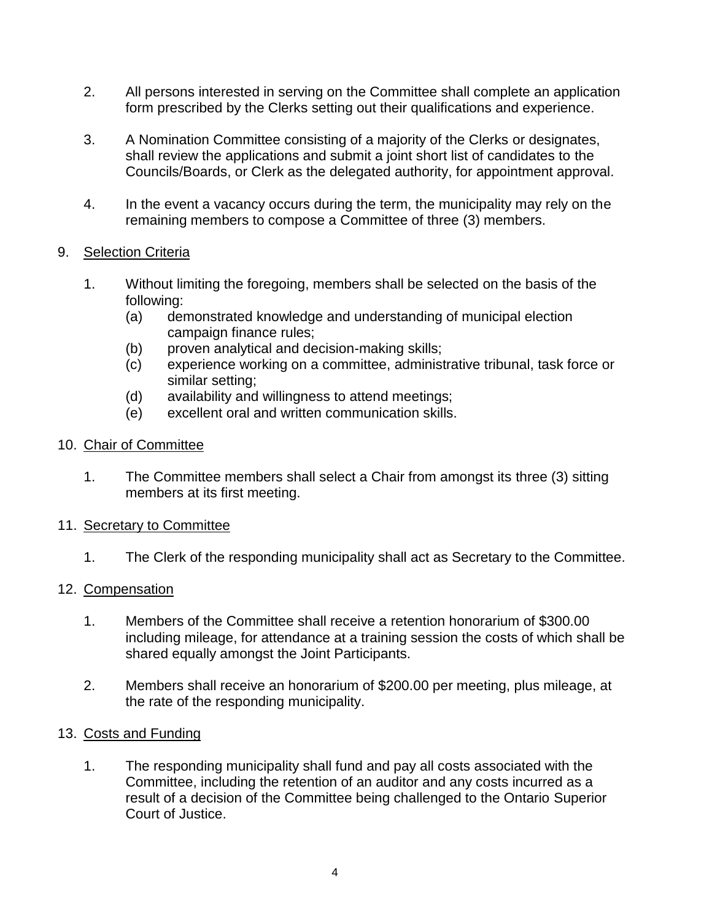- 2. All persons interested in serving on the Committee shall complete an application form prescribed by the Clerks setting out their qualifications and experience.
- 3. A Nomination Committee consisting of a majority of the Clerks or designates, shall review the applications and submit a joint short list of candidates to the Councils/Boards, or Clerk as the delegated authority, for appointment approval.
- 4. In the event a vacancy occurs during the term, the municipality may rely on the remaining members to compose a Committee of three (3) members.

### 9. Selection Criteria

- 1. Without limiting the foregoing, members shall be selected on the basis of the following:
	- (a) demonstrated knowledge and understanding of municipal election campaign finance rules;
	- (b) proven analytical and decision-making skills;
	- (c) experience working on a committee, administrative tribunal, task force or similar setting;
	- (d) availability and willingness to attend meetings;
	- (e) excellent oral and written communication skills.
- 10. Chair of Committee
	- 1. The Committee members shall select a Chair from amongst its three (3) sitting members at its first meeting.
- 11. Secretary to Committee
	- 1. The Clerk of the responding municipality shall act as Secretary to the Committee.

# 12. Compensation

- 1. Members of the Committee shall receive a retention honorarium of \$300.00 including mileage, for attendance at a training session the costs of which shall be shared equally amongst the Joint Participants.
- 2. Members shall receive an honorarium of \$200.00 per meeting, plus mileage, at the rate of the responding municipality.

### 13. Costs and Funding

1. The responding municipality shall fund and pay all costs associated with the Committee, including the retention of an auditor and any costs incurred as a result of a decision of the Committee being challenged to the Ontario Superior Court of Justice.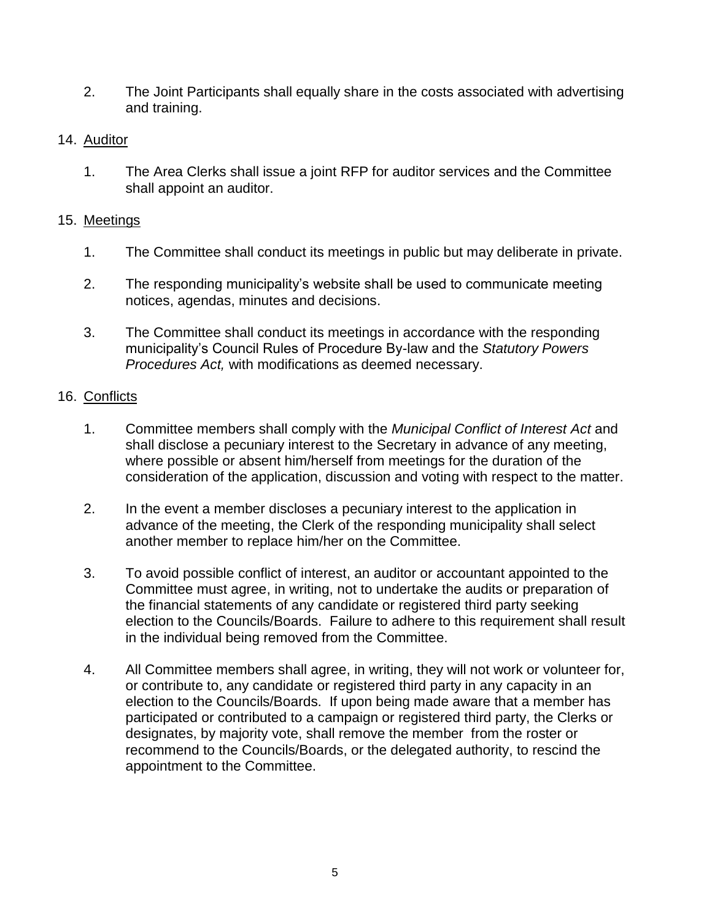2. The Joint Participants shall equally share in the costs associated with advertising and training.

### 14. Auditor

1. The Area Clerks shall issue a joint RFP for auditor services and the Committee shall appoint an auditor.

### 15. Meetings

- 1. The Committee shall conduct its meetings in public but may deliberate in private.
- 2. The responding municipality's website shall be used to communicate meeting notices, agendas, minutes and decisions.
- 3. The Committee shall conduct its meetings in accordance with the responding municipality's Council Rules of Procedure By-law and the *Statutory Powers Procedures Act,* with modifications as deemed necessary.

# 16. Conflicts

- 1. Committee members shall comply with the *Municipal Conflict of Interest Act* and shall disclose a pecuniary interest to the Secretary in advance of any meeting, where possible or absent him/herself from meetings for the duration of the consideration of the application, discussion and voting with respect to the matter.
- 2. In the event a member discloses a pecuniary interest to the application in advance of the meeting, the Clerk of the responding municipality shall select another member to replace him/her on the Committee.
- 3. To avoid possible conflict of interest, an auditor or accountant appointed to the Committee must agree, in writing, not to undertake the audits or preparation of the financial statements of any candidate or registered third party seeking election to the Councils/Boards. Failure to adhere to this requirement shall result in the individual being removed from the Committee.
- 4. All Committee members shall agree, in writing, they will not work or volunteer for, or contribute to, any candidate or registered third party in any capacity in an election to the Councils/Boards. If upon being made aware that a member has participated or contributed to a campaign or registered third party, the Clerks or designates, by majority vote, shall remove the member from the roster or recommend to the Councils/Boards, or the delegated authority, to rescind the appointment to the Committee.